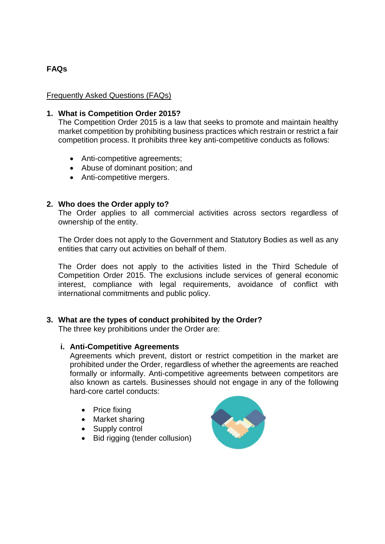# **FAQs**

## Frequently Asked Questions (FAQs)

### **1. What is Competition Order 2015?**

The Competition Order 2015 is a law that seeks to promote and maintain healthy market competition by prohibiting business practices which restrain or restrict a fair competition process. It prohibits three key anti-competitive conducts as follows:

- Anti-competitive agreements;
- Abuse of dominant position; and
- Anti-competitive mergers.

### **2. Who does the Order apply to?**

The Order applies to all commercial activities across sectors regardless of ownership of the entity.

The Order does not apply to the Government and Statutory Bodies as well as any entities that carry out activities on behalf of them.

The Order does not apply to the activities listed in the Third Schedule of Competition Order 2015. The exclusions include services of general economic interest, compliance with legal requirements, avoidance of conflict with international commitments and public policy.

#### **3. What are the types of conduct prohibited by the Order?**

The three key prohibitions under the Order are:

#### **i. Anti-Competitive Agreements**

Agreements which prevent, distort or restrict competition in the market are prohibited under the Order, regardless of whether the agreements are reached formally or informally. Anti-competitive agreements between competitors are also known as cartels. Businesses should not engage in any of the following hard-core cartel conducts:

- Price fixing
- Market sharing
- Supply control
- Bid rigging (tender collusion)

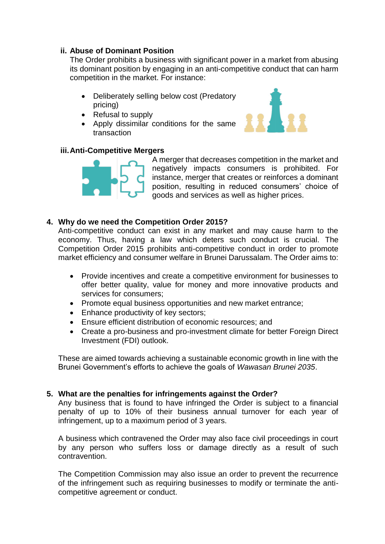# **ii. Abuse of Dominant Position**

The Order prohibits a business with significant power in a market from abusing its dominant position by engaging in an anti-competitive conduct that can harm competition in the market. For instance:

- Deliberately selling below cost (Predatory pricing)
- Refusal to supply
- Apply dissimilar conditions for the same transaction



## **iii.Anti-Competitive Mergers**



A merger that decreases competition in the market and negatively impacts consumers is prohibited. For instance, merger that creates or reinforces a dominant position, resulting in reduced consumers' choice of goods and services as well as higher prices.

# **4. Why do we need the Competition Order 2015?**

Anti-competitive conduct can exist in any market and may cause harm to the economy. Thus, having a law which deters such conduct is crucial. The Competition Order 2015 prohibits anti-competitive conduct in order to promote market efficiency and consumer welfare in Brunei Darussalam. The Order aims to:

- Provide incentives and create a competitive environment for businesses to offer better quality, value for money and more innovative products and services for consumers;
- Promote equal business opportunities and new market entrance;
- Enhance productivity of key sectors;
- Ensure efficient distribution of economic resources; and
- Create a pro-business and pro-investment climate for better Foreign Direct Investment (FDI) outlook.

These are aimed towards achieving a sustainable economic growth in line with the Brunei Government's efforts to achieve the goals of *Wawasan Brunei 2035*.

## **5. What are the penalties for infringements against the Order?**

Any business that is found to have infringed the Order is subject to a financial penalty of up to 10% of their business annual turnover for each year of infringement, up to a maximum period of 3 years.

A business which contravened the Order may also face civil proceedings in court by any person who suffers loss or damage directly as a result of such contravention.

The Competition Commission may also issue an order to prevent the recurrence of the infringement such as requiring businesses to modify or terminate the anticompetitive agreement or conduct.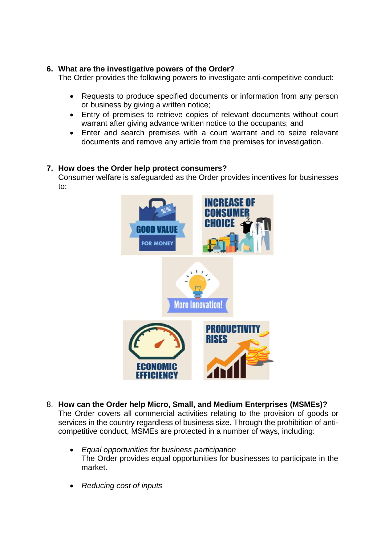# **6. What are the investigative powers of the Order?**

The Order provides the following powers to investigate anti-competitive conduct:

- Requests to produce specified documents or information from any person or business by giving a written notice;
- Entry of premises to retrieve copies of relevant documents without court warrant after giving advance written notice to the occupants; and
- Enter and search premises with a court warrant and to seize relevant documents and remove any article from the premises for investigation.

# **7. How does the Order help protect consumers?**

Consumer welfare is safeguarded as the Order provides incentives for businesses to:



- 8. **How can the Order help Micro, Small, and Medium Enterprises (MSMEs)?** The Order covers all commercial activities relating to the provision of goods or services in the country regardless of business size. Through the prohibition of anticompetitive conduct, MSMEs are protected in a number of ways, including:
	- *Equal opportunities for business participation* The Order provides equal opportunities for businesses to participate in the market.
	- *Reducing cost of inputs*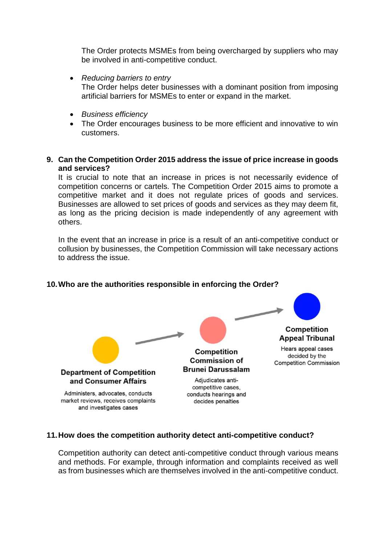The Order protects MSMEs from being overcharged by suppliers who may be involved in anti-competitive conduct.

- *Reducing barriers to entry* The Order helps deter businesses with a dominant position from imposing artificial barriers for MSMEs to enter or expand in the market.
- *Business efficiency*
- The Order encourages business to be more efficient and innovative to win customers.
- **9. Can the Competition Order 2015 address the issue of price increase in goods and services?**

It is crucial to note that an increase in prices is not necessarily evidence of competition concerns or cartels. The Competition Order 2015 aims to promote a competitive market and it does not regulate prices of goods and services. Businesses are allowed to set prices of goods and services as they may deem fit, as long as the pricing decision is made independently of any agreement with others.

In the event that an increase in price is a result of an anti-competitive conduct or collusion by businesses, the Competition Commission will take necessary actions to address the issue.



## **10.Who are the authorities responsible in enforcing the Order?**

### **11.How does the competition authority detect anti-competitive conduct?**

Competition authority can detect anti-competitive conduct through various means and methods. For example, through information and complaints received as well as from businesses which are themselves involved in the anti-competitive conduct.